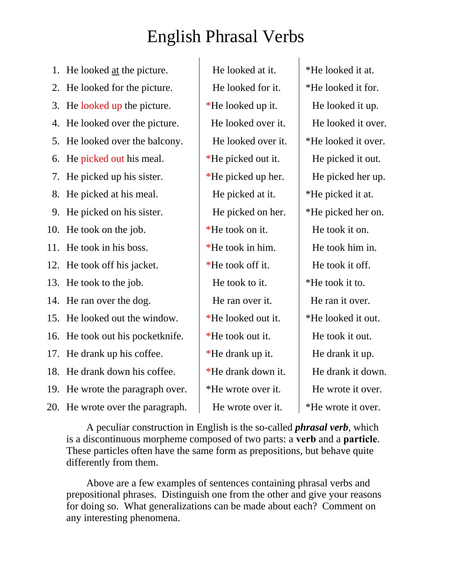## English Phrasal Verbs

- 1. He looked <u>at</u> the picture. He looked at it.  $\parallel$  \*He looked it at.
- 2. He looked for the picture.  $\parallel$  He looked for it.  $\parallel$  \*He looked it for.
- 3. He looked up the picture.  $\parallel$  \*He looked up it.  $\parallel$  He looked it up.
- 4. He looked over the picture. <br>He looked over it. He looked it over.
- 5. He looked over the balcony.  $\parallel$  He looked over it.  $\parallel$  \*He looked it over.
- 6. He picked out his meal.  $*$ He picked out it.  $\parallel$  He picked it out.
- 7. He picked up his sister.  $\parallel$  \*He picked up her.  $\parallel$  He picked her up.
- 8. He picked at his meal. He picked at it.  $\parallel$  \*He picked it at.
- 9. He picked on his sister.  $\parallel$  He picked on her.  $\parallel$  \*He picked her on.
- 10. He took on the job.  $*He$  took on it. He took it on.
- 11. He took in his boss.  $\parallel$  \*He took in him. He took him in.
- 12. He took off his jacket.  $\parallel$  \*He took off it. He took it off.
- 
- 14. He ran over the dog. He ran over it. He ran it over.
- 15. He looked out the window.  $\parallel$  \*He looked out it.  $\parallel$  \*He looked it out.
- 16. He took out his pocketknife.  $\parallel$  \*He took out it. He took it out.
- 17. He drank up his coffee.  $\parallel$  \*He drank up it. He drank it up.
- 18. He drank down his coffee.  $\frac{1}{2}$  \*He drank down it.  $\frac{1}{2}$  He drank it down.
- 19. He wrote the paragraph over.  $*He$  wrote over it. He wrote it over.
- 20. He wrote over the paragraph.  $\parallel$  He wrote over it.  $\parallel$  \*He wrote it over.

13. He took to the job.  $\qquad$  He took to it.  $\qquad$  \*He took it to.

A peculiar construction in English is the so-called *phrasal verb*, which is a discontinuous morpheme composed of two parts: a **verb** and a **particle**. These particles often have the same form as prepositions, but behave quite differently from them.

Above are a few examples of sentences containing phrasal verbs and prepositional phrases. Distinguish one from the other and give your reasons for doing so. What generalizations can be made about each? Comment on any interesting phenomena.